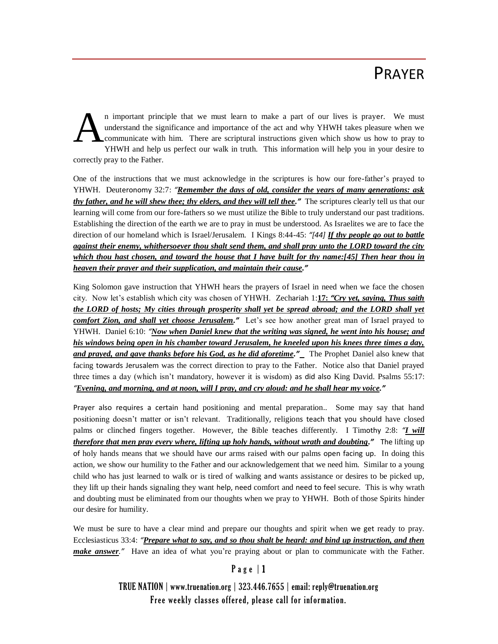## PRAYER

n important principle that we must learn to make a part of our lives is prayer. We must understand the significance and importance of the act and why YHWH takes pleasure when we communicate with him. There are scriptural instructions given which show us how to pray to YHWH and help us perfect our walk in truth. This information will help you in your desire to correctly pray to the Father. A

One of the instructions that we must acknowledge in the scriptures is how our fore-father's prayed to YHWH. Deuteronomy 32:7: *"Remember the days of old, consider the years of many generations: ask thy father, and he will shew thee; thy elders, and they will tell thee."*The scriptures clearly tell us that our learning will come from our fore-fathers so we must utilize the Bible to truly understand our past traditions. Establishing the direction of the earth we are to pray in must be understood. As Israelites we are to face the direction of our homeland which is Israel/Jerusalem. I Kings 8:44-45: *"[44] If thy people go out to battle against their enemy, whithersoever thou shalt send them, and shall pray unto the LORD toward the city which thou hast chosen, and toward the house that I have built for thy name:[45] Then hear thou in heaven their prayer and their supplication, and maintain their cause."*

King Solomon gave instruction that YHWH hears the prayers of Israel in need when we face the chosen city. Now let's establish which city was chosen of YHWH. Zechariah 1:**17:** *"Cry yet, saying, Thus saith the LORD of hosts; My cities through prosperity shall yet be spread abroad; and the LORD shall yet comfort Zion, and shall yet choose Jerusalem."*Let's see how another great man of Israel prayed to YHWH. Daniel 6:10: *"Now when Daniel knew that the writing was signed, he went into his house; and his windows being open in his chamber toward Jerusalem, he kneeled upon his knees three times a day, and prayed, and gave thanks before his God, as he did aforetime."*The Prophet Daniel also knew that facing towards Jerusalem was the correct direction to pray to the Father. Notice also that Daniel prayed three times a day (which isn't mandatory, however it is wisdom) as did also King David. Psalms 55:17: *"Evening, and morning, and at noon, will I pray, and cry aloud: and he shall hear my voice."*

Prayer also requires a certain hand positioning and mental preparation.. Some may say that hand positioning doesn't matter or isn't relevant. Traditionally, religions teach that you should have closed palms or clinched fingers together. However, the Bible teaches differently. I Timothy 2:8: *"I will therefore that men pray every where, lifting up holy hands, without wrath and doubting."*The lifting up of holy hands means that we should have our arms raised with our palms open facing up. In doing this action, we show our humility to the Father and our acknowledgement that we need him. Similar to a young child who has just learned to walk or is tired of walking and wants assistance or desires to be picked up, they lift up their hands signaling they want help, need comfort and need to feel secure. This is why wrath and doubting must be eliminated from our thoughts when we pray to YHWH. Both of those Spirits hinder our desire for humility.

We must be sure to have a clear mind and prepare our thoughts and spirit when we get ready to pray. Ecclesiasticus 33:4: *"Prepare what to say, and so thou shalt be heard: and bind up instruction, and then make answer*.<sup>*"*</sup> Have an idea of what you're praying about or plan to communicate with the Father.

## Page | 1

TRUE NATION | www.truenation.org | 323.446.7655 | email: reply@truenation.org Free weekly classes offered, please call for information.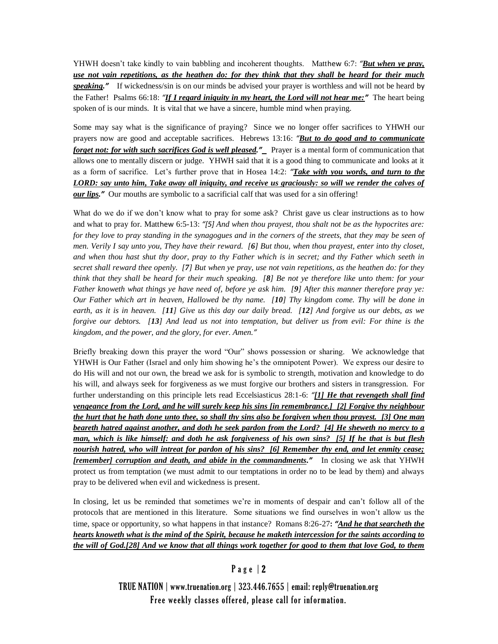YHWH doesn't take kindly to vain babbling and incoherent thoughts. Matthew 6:7: *"But when ye pray, use not vain repetitions, as the heathen do: for they think that they shall be heard for their much speaking."*If wickedness/sin is on our minds be advised your prayer is worthless and will not be heard by the Father! Psalms 66:18: *"If I regard iniquity in my heart, the Lord will not hear me:"*The heart being spoken of is our minds. It is vital that we have a sincere, humble mind when praying.

Some may say what is the significance of praying? Since we no longer offer sacrifices to YHWH our prayers now are good and acceptable sacrifices. Hebrews 13:16: *"But to do good and to communicate forget not: for with such sacrifices God is well pleased.<sup>"</sup>* Prayer is a mental form of communication that allows one to mentally discern or judge. YHWH said that it is a good thing to communicate and looks at it as a form of sacrifice. Let's further prove that in Hosea 14:2: *"Take with you words, and turn to the LORD: say unto him, Take away all iniquity, and receive us graciously: so will we render the calves of our lips."* Our mouths are symbolic to a sacrificial calf that was used for a sin offering!

What do we do if we don't know what to pray for some ask? Christ gave us clear instructions as to how and what to pray for. Matthew 6:5-13: *"[5] And when thou prayest, thou shalt not be as the hypocrites are: for they love to pray standing in the synagogues and in the corners of the streets, that they may be seen of men. Verily I say unto you, They have their reward. [6] But thou, when thou prayest, enter into thy closet, and when thou hast shut thy door, pray to thy Father which is in secret; and thy Father which seeth in secret shall reward thee openly. [7] But when ye pray, use not vain repetitions, as the heathen do: for they think that they shall be heard for their much speaking. [8] Be not ye therefore like unto them: for your Father knoweth what things ye have need of, before ye ask him. [9] After this manner therefore pray ye: Our Father which art in heaven, Hallowed be thy name. [10] Thy kingdom come. Thy will be done in earth, as it is in heaven. [11] Give us this day our daily bread. [12] And forgive us our debts, as we forgive our debtors. [13] And lead us not into temptation, but deliver us from evil: For thine is the kingdom, and the power, and the glory, for ever. Amen."*

Briefly breaking down this prayer the word "Our" shows possession or sharing. We acknowledge that YHWH is Our Father (Israel and only him showing he's the omnipotent Power). We express our desire to do His will and not our own, the bread we ask for is symbolic to strength, motivation and knowledge to do his will, and always seek for forgiveness as we must forgive our brothers and sisters in transgression. For further understanding on this principle lets read Eccelsiasticus 28:1-6: *"[1] He that revengeth shall find vengeance from the Lord, and he will surely keep his sins [in remembrance.] [2] Forgive thy neighbour the hurt that he hath done unto thee, so shall thy sins also be forgiven when thou prayest. [3] One man beareth hatred against another, and doth he seek pardon from the Lord? [4] He sheweth no mercy to a man, which is like himself: and doth he ask forgiveness of his own sins? [5] If he that is but flesh nourish hatred, who will intreat for pardon of his sins? [6] Remember thy end, and let enmity cease; [remember] corruption and death, and abide in the commandments."*In closing we ask that YHWH protect us from temptation (we must admit to our temptations in order no to be lead by them) and always pray to be delivered when evil and wickedness is present.

In closing, let us be reminded that sometimes we're in moments of despair and can't follow all of the protocols that are mentioned in this literature. Some situations we find ourselves in won't allow us the time, space or opportunity, so what happens in that instance? Romans 8:26-27**:** *"And he that searcheth the hearts knoweth what is the mind of the Spirit, because he maketh intercession for the saints according to the will of God.[28] And we know that all things work together for good to them that love God, to them* 

## P a g e | 2

TRUE NATION | www.truenation.org | 323.446.7655 | email: reply@truenation.org Free weekly classes offered, please call for information.